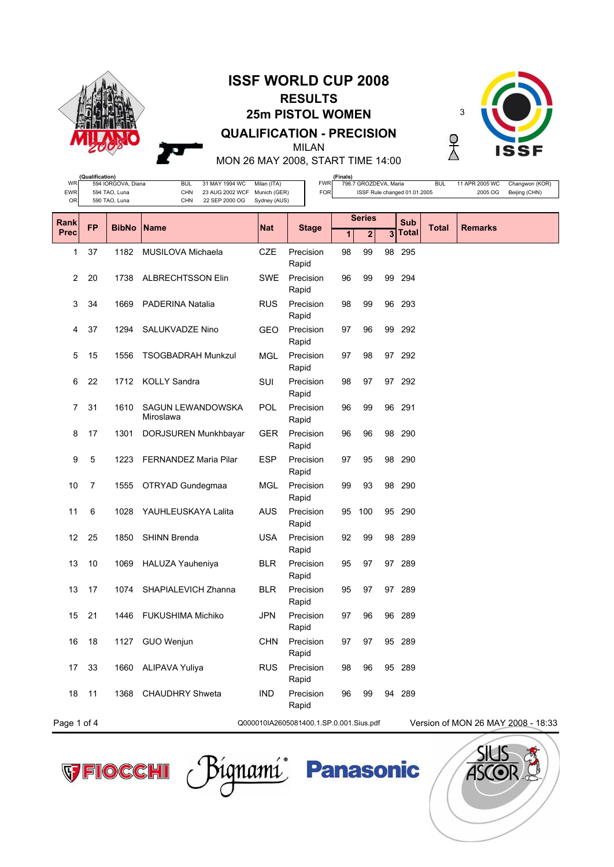

## **ISSF WORLD CUP 2008 RESULTS 25m PISTOL WOMEN QUALIFICATION - PRECISION** MILAN



MON 26 MAY 2008, START TIME 14:00

| WF          | (Qualification)                                        |                                     |                                                               |                             |                          | (Finals) |                       |    |                                    |              |                           |                                 |  |  |
|-------------|--------------------------------------------------------|-------------------------------------|---------------------------------------------------------------|-----------------------------|--------------------------|----------|-----------------------|----|------------------------------------|--------------|---------------------------|---------------------------------|--|--|
| <b>EWR</b>  |                                                        | 594 IORGOVA, Diana<br>594 TAO, Luna | <b>BUL</b><br>31 MAY 1994 WC<br><b>CHN</b><br>23 AUG 2002 WCF | Milan (ITA)<br>Munich (GER) | <b>FWR</b><br><b>FOR</b> |          | 796.7 GROZDEVA, Maria |    | ISSF Rule changed 01.01.2005       | <b>BUL</b>   | 11 APR 2005 WC<br>2005 OG | Changwon (KOR)<br>Beijing (CHN) |  |  |
| <b>OR</b>   |                                                        | 590 TAO, Luna                       | <b>CHN</b><br>22 SEP 2000 OG                                  | Sydney (AUS)                |                          |          |                       |    |                                    |              |                           |                                 |  |  |
| Rank        | <b>FP</b>                                              |                                     |                                                               |                             |                          |          | <b>Series</b>         |    | Sub                                |              |                           |                                 |  |  |
| <b>Prec</b> |                                                        | <b>BibNo</b>                        | <b>Name</b>                                                   | <b>Nat</b>                  | <b>Stage</b>             | 1        | $\mathbf{2}$          | 3  | Total                              | <b>Total</b> | <b>Remarks</b>            |                                 |  |  |
| 1           | 37                                                     | 1182                                | <b>MUSILOVA Michaela</b>                                      | <b>CZE</b>                  | Precision<br>Rapid       | 98       | 99                    |    | 98 295                             |              |                           |                                 |  |  |
| 2           | 20                                                     | 1738                                | <b>ALBRECHTSSON Elin</b>                                      | <b>SWE</b>                  | Precision<br>Rapid       | 96       | 99                    | 99 | 294                                |              |                           |                                 |  |  |
| 3           | 34                                                     | 1669                                | <b>PADERINA Natalia</b>                                       | <b>RUS</b>                  | Precision<br>Rapid       | 98       | 99                    | 96 | 293                                |              |                           |                                 |  |  |
| 4           | 37                                                     | 1294                                | SALUKVADZE Nino                                               | <b>GEO</b>                  | Precision<br>Rapid       | 97       | 96                    | 99 | 292                                |              |                           |                                 |  |  |
| 5           | 15                                                     | 1556                                | <b>TSOGBADRAH Munkzul</b>                                     | MGL                         | Precision<br>Rapid       | 97       | 98                    |    | 97 292                             |              |                           |                                 |  |  |
| 6           | 22                                                     | 1712                                | <b>KOLLY Sandra</b>                                           | SUI                         | Precision<br>Rapid       | 98       | 97                    |    | 97 292                             |              |                           |                                 |  |  |
| 7           | 31                                                     | 1610                                | SAGUN LEWANDOWSKA<br>Miroslawa                                | POL                         | Precision<br>Rapid       | 96       | 99                    | 96 | 291                                |              |                           |                                 |  |  |
| 8           | 17                                                     | 1301                                | DORJSUREN Munkhbayar                                          | <b>GER</b>                  | Precision<br>Rapid       | 96       | 96                    | 98 | 290                                |              |                           |                                 |  |  |
| 9           | 5                                                      | 1223                                | <b>FERNANDEZ Maria Pilar</b>                                  | <b>ESP</b>                  | Precision<br>Rapid       | 97       | 95                    | 98 | 290                                |              |                           |                                 |  |  |
| 10          | 7                                                      | 1555                                | OTRYAD Gundegmaa                                              | MGL                         | Precision<br>Rapid       | 99       | 93                    |    | 98 290                             |              |                           |                                 |  |  |
| 11          | 6                                                      | 1028                                | YAUHLEUSKAYA Lalita                                           | AUS                         | Precision<br>Rapid       | 95       | 100                   |    | 95 290                             |              |                           |                                 |  |  |
| 12          | 25                                                     | 1850                                | <b>SHINN Brenda</b>                                           | <b>USA</b>                  | Precision<br>Rapid       | 92       | 99                    | 98 | 289                                |              |                           |                                 |  |  |
| 13          | 10                                                     | 1069                                | HALUZA Yauheniya                                              | <b>BLR</b>                  | Precision<br>Rapid       | 95       | 97                    | 97 | 289                                |              |                           |                                 |  |  |
| 13          | 17                                                     | 1074                                | SHAPIALEVICH Zhanna                                           | <b>BLR</b>                  | Precision<br>Rapid       | 95       | 97                    | 97 | 289                                |              |                           |                                 |  |  |
| 15          | 21                                                     | 1446                                | <b>FUKUSHIMA Michiko</b>                                      | <b>JPN</b>                  | Precision<br>Rapid       | 97       | 96                    |    | 96 289                             |              |                           |                                 |  |  |
| 16          | 18                                                     |                                     | 1127 GUO Wenjun                                               | <b>CHN</b>                  | Precision<br>Rapid       | 97       | 97                    |    | 95 289                             |              |                           |                                 |  |  |
| 17          | 33                                                     |                                     | 1660 ALIPAVA Yuliya                                           | <b>RUS</b>                  | Precision<br>Rapid       | 98       | 96                    |    | 95 289                             |              |                           |                                 |  |  |
| 18          | 11                                                     |                                     | 1368 CHAUDHRY Shweta                                          | <b>IND</b>                  | Precision<br>Rapid       | 96       | 99                    |    | 94 289                             |              |                           |                                 |  |  |
|             | Page 1 of 4<br>Q000010IA2605081400.1.SP.0.001.Sius.pdf |                                     |                                                               |                             |                          |          |                       |    | Version of MON 26 MAY 2008 - 18:33 |              |                           |                                 |  |  |





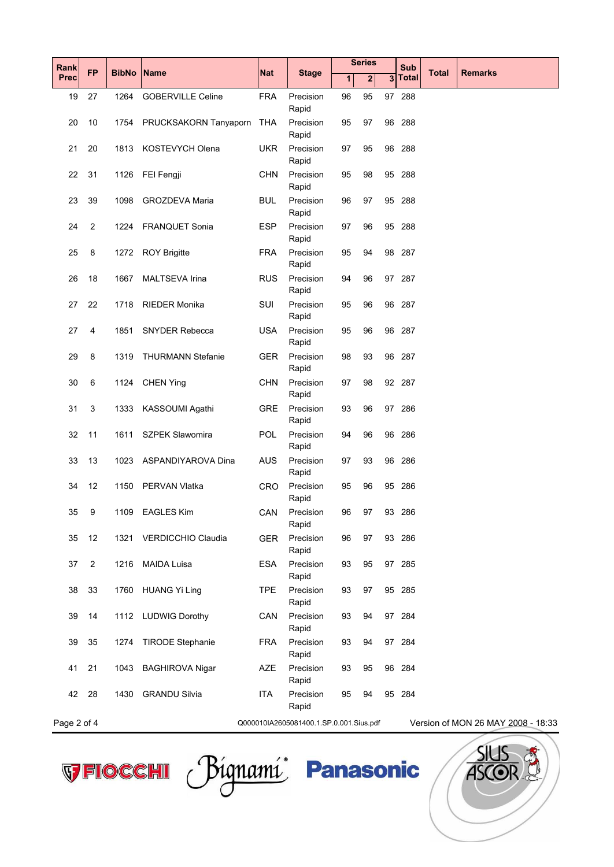| Rank        | <b>FP</b>      | <b>BibNo</b> | Name                      | Nat        | <b>Stage</b>                            | <b>Series</b> |              | <b>Sub</b><br><b>Total</b> |        | <b>Remarks</b> |                                    |
|-------------|----------------|--------------|---------------------------|------------|-----------------------------------------|---------------|--------------|----------------------------|--------|----------------|------------------------------------|
| <b>Prec</b> |                |              |                           |            |                                         | 1             | $\mathbf{2}$ | 3                          | Total  |                |                                    |
| 19          | 27             | 1264         | <b>GOBERVILLE Celine</b>  | <b>FRA</b> | Precision<br>Rapid                      | 96            | 95           |                            | 97 288 |                |                                    |
| 20          | 10             | 1754         | PRUCKSAKORN Tanyaporn     | <b>THA</b> | Precision<br>Rapid                      | 95            | 97           |                            | 96 288 |                |                                    |
| 21          | 20             | 1813         | KOSTEVYCH Olena           | <b>UKR</b> | Precision<br>Rapid                      | 97            | 95           |                            | 96 288 |                |                                    |
| 22          | 31             | 1126         | FEI Fengji                | <b>CHN</b> | Precision<br>Rapid                      | 95            | 98           |                            | 95 288 |                |                                    |
| 23          | 39             | 1098         | <b>GROZDEVA Maria</b>     | <b>BUL</b> | Precision<br>Rapid                      | 96            | 97           |                            | 95 288 |                |                                    |
| 24          | 2              | 1224         | <b>FRANQUET Sonia</b>     | <b>ESP</b> | Precision<br>Rapid                      | 97            | 96           |                            | 95 288 |                |                                    |
| 25          | 8              | 1272         | <b>ROY Brigitte</b>       | <b>FRA</b> | Precision<br>Rapid                      | 95            | 94           |                            | 98 287 |                |                                    |
| 26          | 18             | 1667         | <b>MALTSEVA Irina</b>     | <b>RUS</b> | Precision<br>Rapid                      | 94            | 96           |                            | 97 287 |                |                                    |
| 27          | 22             | 1718         | <b>RIEDER Monika</b>      | SUI        | Precision<br>Rapid                      | 95            | 96           |                            | 96 287 |                |                                    |
| 27          | 4              | 1851         | <b>SNYDER Rebecca</b>     | <b>USA</b> | Precision<br>Rapid                      | 95            | 96           |                            | 96 287 |                |                                    |
| 29          | 8              | 1319         | <b>THURMANN Stefanie</b>  | <b>GER</b> | Precision<br>Rapid                      | 98            | 93           |                            | 96 287 |                |                                    |
| 30          | 6              | 1124         | <b>CHEN Ying</b>          | <b>CHN</b> | Precision<br>Rapid                      | 97            | 98           |                            | 92 287 |                |                                    |
| 31          | 3              | 1333         | KASSOUMI Agathi           | <b>GRE</b> | Precision<br>Rapid                      | 93            | 96           | 97                         | 286    |                |                                    |
| 32          | 11             | 1611         | <b>SZPEK Slawomira</b>    | <b>POL</b> | Precision<br>Rapid                      | 94            | 96           |                            | 96 286 |                |                                    |
| 33          | 13             | 1023         | ASPANDIYAROVA Dina        | <b>AUS</b> | Precision<br>Rapid                      | 97            | 93           |                            | 96 286 |                |                                    |
| 34          | 12             | 1150         | <b>PERVAN Vlatka</b>      | <b>CRO</b> | Precision<br>Rapid                      | 95            | 96           |                            | 95 286 |                |                                    |
| 35          | 9              | 1109         | <b>EAGLES Kim</b>         | CAN        | Precision<br>Rapid                      | 96            | 97           |                            | 93 286 |                |                                    |
| 35          | 12             | 1321         | <b>VERDICCHIO Claudia</b> | <b>GER</b> | Precision<br>Rapid                      | 96            | 97           |                            | 93 286 |                |                                    |
| 37          | $\overline{2}$ | 1216         | <b>MAIDA Luisa</b>        | <b>ESA</b> | Precision<br>Rapid                      | 93            | 95           |                            | 97 285 |                |                                    |
| 38          | 33             | 1760         | <b>HUANG Yi Ling</b>      | <b>TPE</b> | Precision<br>Rapid                      | 93            | 97           |                            | 95 285 |                |                                    |
| 39          | 14             |              | 1112 LUDWIG Dorothy       | CAN        | Precision<br>Rapid                      | 93            | 94           |                            | 97 284 |                |                                    |
| 39          | 35             | 1274         | <b>TIRODE Stephanie</b>   | <b>FRA</b> | Precision<br>Rapid                      | 93            | 94           |                            | 97 284 |                |                                    |
| 41          | 21             | 1043         | <b>BAGHIROVA Nigar</b>    | <b>AZE</b> | Precision<br>Rapid                      | 93            | 95           |                            | 96 284 |                |                                    |
| 42          | 28             | 1430         | <b>GRANDU Silvia</b>      | <b>ITA</b> | Precision<br>Rapid                      | 95            | 94           |                            | 95 284 |                |                                    |
| Page 2 of 4 |                |              |                           |            | Q000010IA2605081400.1.SP.0.001.Sius.pdf |               |              |                            |        |                | Version of MON 26 MAY 2008 - 18:33 |



VFIOCCHI Pignami Panasonic

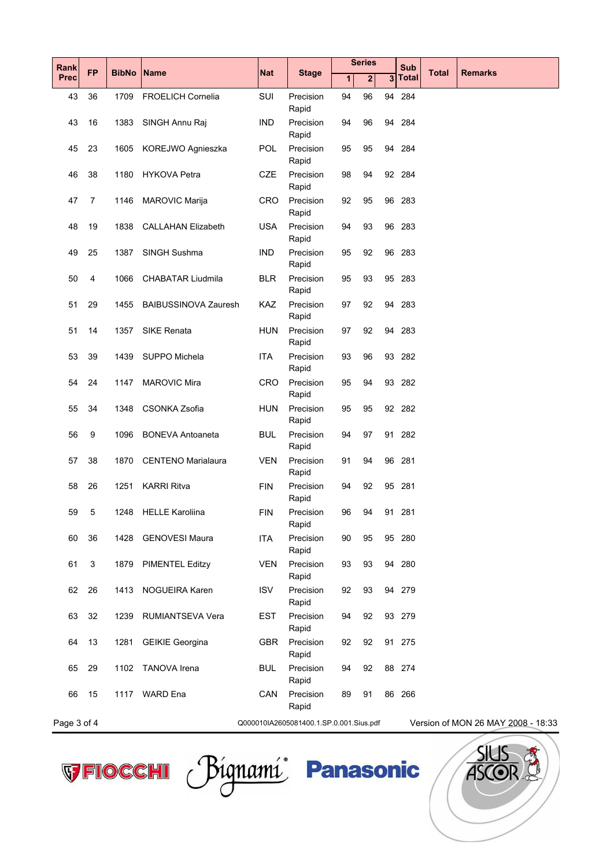| Rank        | <b>FP</b>      | <b>BibNo</b> | <b>Name</b>                 | <b>Nat</b>                              | <b>Stage</b>       | <b>Series</b> |              |    | Sub          | <b>Total</b> | <b>Remarks</b>                     |
|-------------|----------------|--------------|-----------------------------|-----------------------------------------|--------------------|---------------|--------------|----|--------------|--------------|------------------------------------|
| <b>Prec</b> |                |              |                             |                                         |                    | 1             | $\mathbf{2}$ | 3  | <b>Total</b> |              |                                    |
| 43          | 36             | 1709         | <b>FROELICH Cornelia</b>    | SUI                                     | Precision<br>Rapid | 94            | 96           |    | 94 284       |              |                                    |
| 43          | 16             | 1383         | SINGH Annu Raj              | <b>IND</b>                              | Precision<br>Rapid | 94            | 96           |    | 94 284       |              |                                    |
| 45          | 23             | 1605         | KOREJWO Agnieszka           | <b>POL</b>                              | Precision<br>Rapid | 95            | 95           | 94 | 284          |              |                                    |
| 46          | 38             | 1180         | <b>HYKOVA Petra</b>         | <b>CZE</b>                              | Precision<br>Rapid | 98            | 94           |    | 92 284       |              |                                    |
| 47          | $\overline{7}$ | 1146         | <b>MAROVIC Marija</b>       | <b>CRO</b>                              | Precision<br>Rapid | 92            | 95           |    | 96 283       |              |                                    |
| 48          | 19             | 1838         | <b>CALLAHAN Elizabeth</b>   | <b>USA</b>                              | Precision<br>Rapid | 94            | 93           |    | 96 283       |              |                                    |
| 49          | 25             | 1387         | SINGH Sushma                | <b>IND</b>                              | Precision<br>Rapid | 95            | 92           |    | 96 283       |              |                                    |
| 50          | 4              | 1066         | <b>CHABATAR Liudmila</b>    | <b>BLR</b>                              | Precision<br>Rapid | 95            | 93           |    | 95 283       |              |                                    |
| 51          | 29             | 1455         | <b>BAIBUSSINOVA Zauresh</b> | <b>KAZ</b>                              | Precision<br>Rapid | 97            | 92           |    | 94 283       |              |                                    |
| 51          | 14             | 1357         | <b>SIKE Renata</b>          | <b>HUN</b>                              | Precision<br>Rapid | 97            | 92           |    | 94 283       |              |                                    |
| 53          | 39             | 1439         | SUPPO Michela               | <b>ITA</b>                              | Precision<br>Rapid | 93            | 96           |    | 93 282       |              |                                    |
| 54          | 24             | 1147         | <b>MAROVIC Mira</b>         | <b>CRO</b>                              | Precision<br>Rapid | 95            | 94           |    | 93 282       |              |                                    |
| 55          | 34             | 1348         | <b>CSONKA Zsofia</b>        | <b>HUN</b>                              | Precision<br>Rapid | 95            | 95           |    | 92 282       |              |                                    |
| 56          | 9              | 1096         | <b>BONEVA Antoaneta</b>     | <b>BUL</b>                              | Precision<br>Rapid | 94            | 97           |    | 91 282       |              |                                    |
| 57          | 38             | 1870         | <b>CENTENO Marialaura</b>   | <b>VEN</b>                              | Precision<br>Rapid | 91            | 94           |    | 96 281       |              |                                    |
| 58          | 26             | 1251         | <b>KARRI Ritva</b>          | <b>FIN</b>                              | Precision<br>Rapid | 94            | 92           |    | 95 281       |              |                                    |
| 59          | 5              | 1248         | <b>HELLE Karoliina</b>      | <b>FIN</b>                              | Precision<br>Rapid | 96            | 94           |    | 91 281       |              |                                    |
| 60          | 36             | 1428         | <b>GENOVESI Maura</b>       | <b>ITA</b>                              | Precision<br>Rapid | 90            | 95           |    | 95 280       |              |                                    |
| 61          | 3              | 1879         | <b>PIMENTEL Editzy</b>      | <b>VEN</b>                              | Precision<br>Rapid | 93            | 93           |    | 94 280       |              |                                    |
| 62          | 26             | 1413         | NOGUEIRA Karen              | <b>ISV</b>                              | Precision<br>Rapid | 92            | 93           |    | 94 279       |              |                                    |
| 63          | 32             | 1239         | RUMIANTSEVA Vera            | <b>EST</b>                              | Precision<br>Rapid | 94            | 92           |    | 93 279       |              |                                    |
| 64          | 13             | 1281         | <b>GEIKIE Georgina</b>      | <b>GBR</b>                              | Precision<br>Rapid | 92            | 92           |    | 91 275       |              |                                    |
| 65          | 29             | 1102         | <b>TANOVA</b> Irena         | <b>BUL</b>                              | Precision<br>Rapid | 94            | 92           |    | 88 274       |              |                                    |
| 66          | 15             | 1117         | <b>WARD</b> Ena             | CAN                                     | Precision<br>Rapid | 89            | 91           |    | 86 266       |              |                                    |
| Page 3 of 4 |                |              |                             | Q000010IA2605081400.1.SP.0.001.Sius.pdf |                    |               |              |    |              |              | Version of MON 26 MAY 2008 - 18:33 |



VFIOCCHI Pignami Panasonic